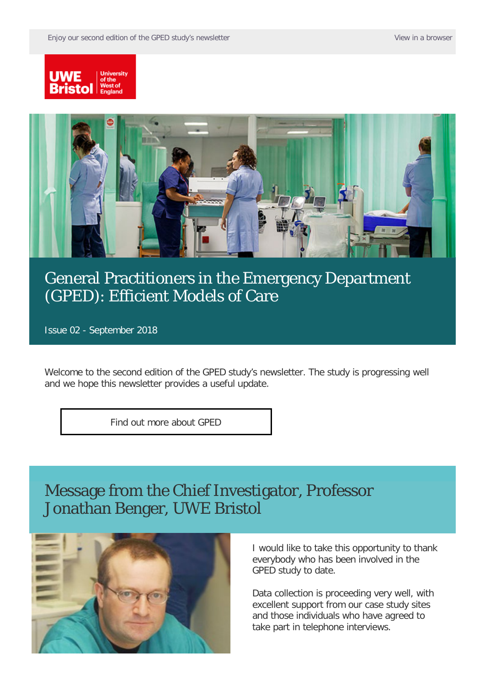



### [General Practitioners in the Emergency Department](https://comms.uwe.ac.uk/t/1HO4-5UAMS-I4ZGT2-39TAJW-1/c.aspx)  [\(GPED\): Efficient Models of Care](https://comms.uwe.ac.uk/t/1HO4-5UAMS-I4ZGT2-39TAJW-1/c.aspx)

Issue 02 - September 2018

Welcome to the second edition of the GPED study's newsletter. The study is progressing well and we hope this newsletter provides a useful update.

[Find out more about GPED](https://comms.uwe.ac.uk/t/1HO4-5UAMS-I4ZGT2-39TAU9-1/c.aspx)

#### Message from the Chief Investigator, Professor Jonathan Benger, UWE Bristol



I would like to take this opportunity to thank everybody who has been involved in the GPED study to date.

Data collection is proceeding very well, with excellent support from our case study sites and those individuals who have agreed to take part in telephone interviews.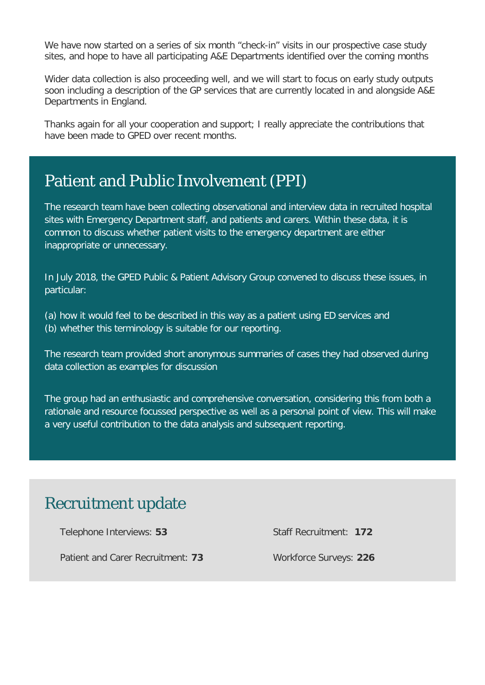We have now started on a series of six month "check-in" visits in our prospective case study sites, and hope to have all participating A&E Departments identified over the coming months

Wider data collection is also proceeding well, and we will start to focus on early study outputs soon including a description of the GP services that are currently located in and alongside A&E Departments in England.

Thanks again for all your cooperation and support; I really appreciate the contributions that have been made to GPED over recent months.

#### Patient and Public Involvement (PPI)

The research team have been collecting observational and interview data in recruited hospital sites with Emergency Department staff, and patients and carers. Within these data, it is common to discuss whether patient visits to the emergency department are either inappropriate or unnecessary.

In July 2018, the GPED Public & Patient Advisory Group convened to discuss these issues, in particular:

(a) how it would feel to be described in this way as a patient using ED services and (b) whether this terminology is suitable for our reporting.

The research team provided short anonymous summaries of cases they had observed during data collection as examples for discussion

The group had an enthusiastic and comprehensive conversation, considering this from both a rationale and resource focussed perspective as well as a personal point of view. This will make a very useful contribution to the data analysis and subsequent reporting.

### Recruitment update

Telephone Interviews: **53**

Staff Recruitment: **172**

Patient and Carer Recruitment: **73**

Workforce Surveys: **226**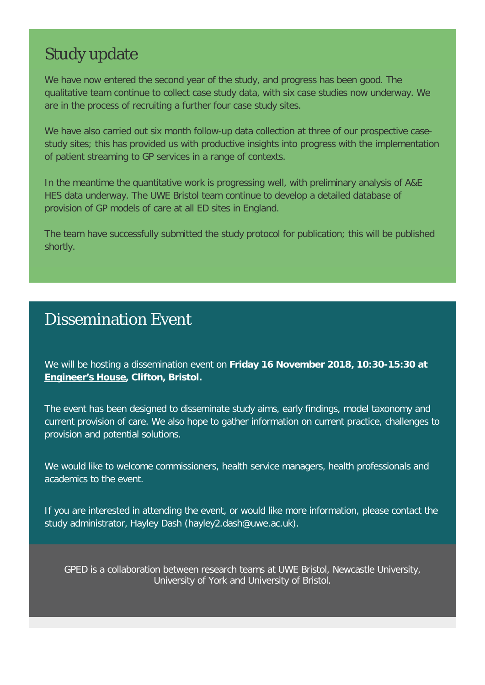## Study update

We have now entered the second year of the study, and progress has been good. The qualitative team continue to collect case study data, with six case studies now underway. We are in the process of recruiting a further four case study sites.

We have also carried out six month follow-up data collection at three of our prospective casestudy sites; this has provided us with productive insights into progress with the implementation of patient streaming to GP services in a range of contexts.

In the meantime the quantitative work is progressing well, with preliminary analysis of A&E HES data underway. The UWE Bristol team continue to develop a detailed database of provision of GP models of care at all ED sites in England.

The team have successfully submitted the study protocol for publication; this will be published shortly.

#### Dissemination Event

We will be hosting a dissemination event on **Friday 16 November 2018, 10:30-15:30 at [Engineer's House,](https://www.eef.org.uk/venues/bristol-engineers-house) Clifton, Bristol.** 

The event has been designed to disseminate study aims, early findings, model taxonomy and current provision of care. We also hope to gather information on current practice, challenges to provision and potential solutions.

We would like to welcome commissioners, health service managers, health professionals and academics to the event.

If you are interested in attending the event, or would like more information, please contact the study administrator, [Hayley Dash](mailto:hayley2.dash@uwe.ac.uk) (hayley2.dash@uwe.ac.uk).

GPED is a collaboration between research teams at UWE Bristol, Newcastle University, University of York and University of Bristol.